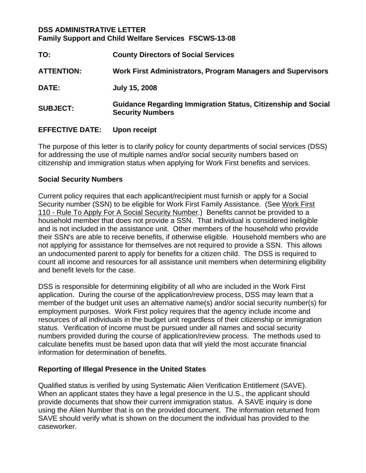## **DSS ADMINISTRATIVE LETTER Family Support and Child Welfare Services FSCWS-13-08**

| TO:               | <b>County Directors of Social Services</b>                                                      |
|-------------------|-------------------------------------------------------------------------------------------------|
| <b>ATTENTION:</b> | Work First Administrators, Program Managers and Supervisors                                     |
| <b>DATE:</b>      | <b>July 15, 2008</b>                                                                            |
| <b>SUBJECT:</b>   | <b>Guidance Regarding Immigration Status, Citizenship and Social</b><br><b>Security Numbers</b> |

## **EFFECTIVE DATE: Upon receipt**

The purpose of this letter is to clarify policy for county departments of social services (DSS) for addressing the use of multiple names and/or social security numbers based on citizenship and immigration status when applying for Work First benefits and services.

## **Social Security Numbers**

Current policy requires that each applicant/recipient must furnish or apply for a Social Security number (SSN) to be eligible for Work First Family Assistance. (See Work First 110 - Rule To Apply For A Social Security Number.) Benefits cannot be provided to a household member that does not provide a SSN. That individual is considered ineligible and is not included in the assistance unit. Other members of the household who provide their SSN's are able to receive benefits, if otherwise eligible. Household members who are not applying for assistance for themselves are not required to provide a SSN. This allows an undocumented parent to apply for benefits for a citizen child. The DSS is required to count all income and resources for all assistance unit members when determining eligibility and benefit levels for the case.

DSS is responsible for determining eligibility of all who are included in the Work First application. During the course of the application/review process, DSS may learn that a member of the budget unit uses an alternative name(s) and/or social security number(s) for employment purposes. Work First policy requires that the agency include income and resources of all individuals in the budget unit regardless of their citizenship or immigration status. Verification of income must be pursued under all names and social security numbers provided during the course of application/review process. The methods used to calculate benefits must be based upon data that will yield the most accurate financial information for determination of benefits.

# **Reporting of Illegal Presence in the United States**

Qualified status is verified by using Systematic Alien Verification Entitlement (SAVE). When an applicant states they have a legal presence in the U.S., the applicant should provide documents that show their current immigration status. A SAVE inquiry is done using the Alien Number that is on the provided document. The information returned from SAVE should verify what is shown on the document the individual has provided to the caseworker.